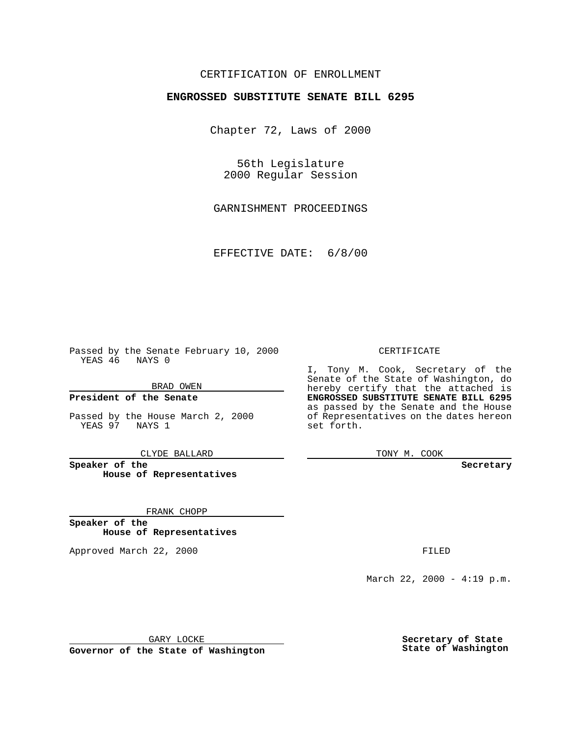### CERTIFICATION OF ENROLLMENT

## **ENGROSSED SUBSTITUTE SENATE BILL 6295**

Chapter 72, Laws of 2000

56th Legislature 2000 Regular Session

GARNISHMENT PROCEEDINGS

EFFECTIVE DATE: 6/8/00

Passed by the Senate February 10, 2000 YEAS 46 NAYS 0

BRAD OWEN

**President of the Senate**

Passed by the House March 2, 2000 YEAS 97 NAYS 1

CLYDE BALLARD

**Speaker of the House of Representatives**

FRANK CHOPP

**Speaker of the House of Representatives**

Approved March 22, 2000 FILED

#### CERTIFICATE

I, Tony M. Cook, Secretary of the Senate of the State of Washington, do hereby certify that the attached is **ENGROSSED SUBSTITUTE SENATE BILL 6295** as passed by the Senate and the House of Representatives on the dates hereon set forth.

TONY M. COOK

**Secretary**

March 22, 2000 - 4:19 p.m.

GARY LOCKE

**Governor of the State of Washington**

**Secretary of State State of Washington**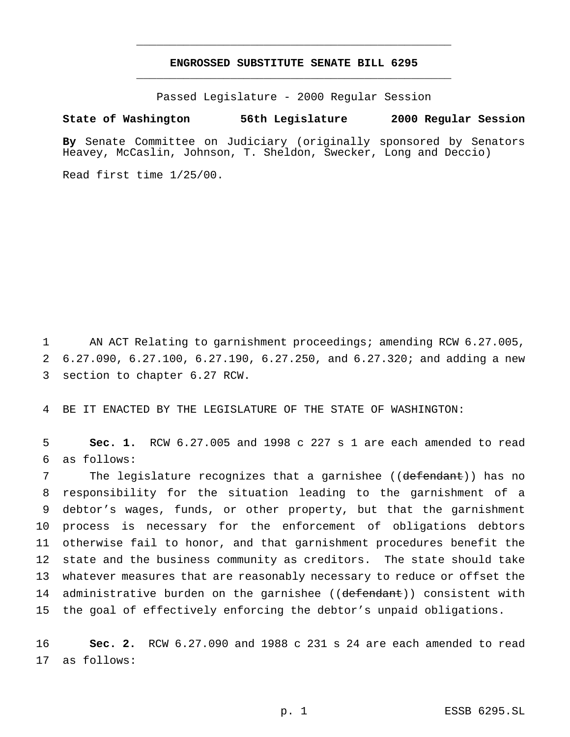### **ENGROSSED SUBSTITUTE SENATE BILL 6295** \_\_\_\_\_\_\_\_\_\_\_\_\_\_\_\_\_\_\_\_\_\_\_\_\_\_\_\_\_\_\_\_\_\_\_\_\_\_\_\_\_\_\_\_\_\_\_

\_\_\_\_\_\_\_\_\_\_\_\_\_\_\_\_\_\_\_\_\_\_\_\_\_\_\_\_\_\_\_\_\_\_\_\_\_\_\_\_\_\_\_\_\_\_\_

Passed Legislature - 2000 Regular Session

#### **State of Washington 56th Legislature 2000 Regular Session**

**By** Senate Committee on Judiciary (originally sponsored by Senators Heavey, McCaslin, Johnson, T. Sheldon, Swecker, Long and Deccio)

Read first time 1/25/00.

1 AN ACT Relating to garnishment proceedings; amending RCW 6.27.005, 2 6.27.090, 6.27.100, 6.27.190, 6.27.250, and 6.27.320; and adding a new 3 section to chapter 6.27 RCW.

4 BE IT ENACTED BY THE LEGISLATURE OF THE STATE OF WASHINGTON:

5 **Sec. 1.** RCW 6.27.005 and 1998 c 227 s 1 are each amended to read 6 as follows:

7 The legislature recognizes that a garnishee ((defendant)) has no responsibility for the situation leading to the garnishment of a debtor's wages, funds, or other property, but that the garnishment process is necessary for the enforcement of obligations debtors otherwise fail to honor, and that garnishment procedures benefit the state and the business community as creditors. The state should take whatever measures that are reasonably necessary to reduce or offset the 14 administrative burden on the garnishee ((defendant)) consistent with the goal of effectively enforcing the debtor's unpaid obligations.

16 **Sec. 2.** RCW 6.27.090 and 1988 c 231 s 24 are each amended to read 17 as follows: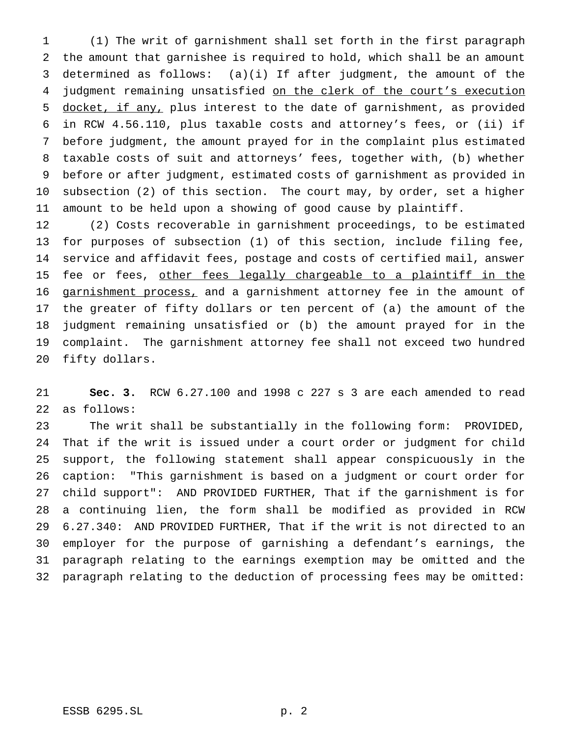(1) The writ of garnishment shall set forth in the first paragraph the amount that garnishee is required to hold, which shall be an amount determined as follows: (a)(i) If after judgment, the amount of the 4 judgment remaining unsatisfied on the clerk of the court's execution docket, if any, plus interest to the date of garnishment, as provided in RCW 4.56.110, plus taxable costs and attorney's fees, or (ii) if before judgment, the amount prayed for in the complaint plus estimated taxable costs of suit and attorneys' fees, together with, (b) whether before or after judgment, estimated costs of garnishment as provided in subsection (2) of this section. The court may, by order, set a higher amount to be held upon a showing of good cause by plaintiff.

 (2) Costs recoverable in garnishment proceedings, to be estimated for purposes of subsection (1) of this section, include filing fee, service and affidavit fees, postage and costs of certified mail, answer 15 fee or fees, other fees legally chargeable to a plaintiff in the garnishment process, and a garnishment attorney fee in the amount of the greater of fifty dollars or ten percent of (a) the amount of the judgment remaining unsatisfied or (b) the amount prayed for in the complaint. The garnishment attorney fee shall not exceed two hundred fifty dollars.

 **Sec. 3.** RCW 6.27.100 and 1998 c 227 s 3 are each amended to read as follows:

 The writ shall be substantially in the following form: PROVIDED, That if the writ is issued under a court order or judgment for child support, the following statement shall appear conspicuously in the caption: "This garnishment is based on a judgment or court order for child support": AND PROVIDED FURTHER, That if the garnishment is for a continuing lien, the form shall be modified as provided in RCW 6.27.340: AND PROVIDED FURTHER, That if the writ is not directed to an employer for the purpose of garnishing a defendant's earnings, the paragraph relating to the earnings exemption may be omitted and the paragraph relating to the deduction of processing fees may be omitted: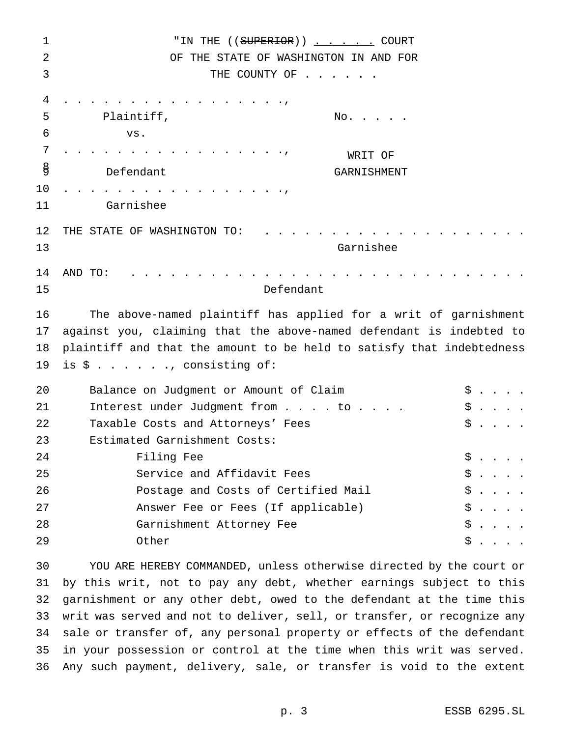| $\mathbf 1$ | "IN THE (( <del>SUPERIOR</del> )) <u></u> COURT                         |     |  |
|-------------|-------------------------------------------------------------------------|-----|--|
| 2           | OF THE STATE OF WASHINGTON IN AND FOR                                   |     |  |
| 3           | THE COUNTY OF                                                           |     |  |
| 4           |                                                                         |     |  |
| 5           | Plaintiff,<br>$\mathrm{No.}$                                            |     |  |
| 6           | VS.                                                                     |     |  |
| 7           | WRIT OF                                                                 |     |  |
| g           | Defendant<br><b>GARNISHMENT</b>                                         |     |  |
| 10          |                                                                         |     |  |
| 11          | Garnishee                                                               |     |  |
| 12          | THE STATE OF WASHINGTON TO:                                             |     |  |
| 13          | Garnishee                                                               |     |  |
| 14<br>15    | AND TO:<br>Defendant                                                    |     |  |
|             |                                                                         |     |  |
| 16          | The above-named plaintiff has applied for a writ of garnishment         |     |  |
| 17          | against you, claiming that the above-named defendant is indebted to     |     |  |
| 18          | plaintiff and that the amount to be held to satisfy that indebtedness   |     |  |
| 19          | is $\hat{S}$ , consisting of:                                           |     |  |
| 20          | Balance on Judgment or Amount of Claim                                  | \$  |  |
| 21          | Interest under Judgment from to                                         | \$  |  |
| 22          | Taxable Costs and Attorneys' Fees                                       | \$  |  |
| 23          | Estimated Garnishment Costs:                                            |     |  |
| 24          | Filing Fee                                                              | Ş   |  |
| 25          | Service and Affidavit Fees                                              | \$. |  |
| 26          | Postage and Costs of Certified Mail                                     | \$  |  |
| 27          | Answer Fee or Fees (If applicable)                                      | \$. |  |
| 28          | Garnishment Attorney Fee                                                | \$. |  |
| 29          | Other                                                                   | \$  |  |
| 30          | YOU ARE HEREBY COMMANDED, unless otherwise directed by the court or     |     |  |
| 31          | by this writ, not to pay any debt, whether earnings subject to this     |     |  |
| 32          | garnishment or any other debt, owed to the defendant at the time this   |     |  |
| 33          | writ was served and not to deliver, sell, or transfer, or recognize any |     |  |
| 34          | sale or transfer of, any personal property or effects of the defendant  |     |  |
| 35          | in your possession or control at the time when this writ was served.    |     |  |
| 36          | Any such payment, delivery, sale, or transfer is void to the extent     |     |  |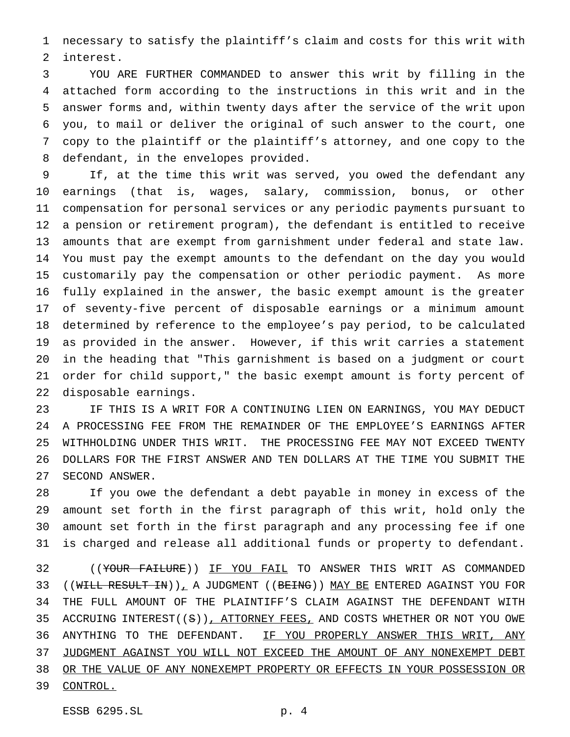necessary to satisfy the plaintiff's claim and costs for this writ with interest.

 YOU ARE FURTHER COMMANDED to answer this writ by filling in the attached form according to the instructions in this writ and in the answer forms and, within twenty days after the service of the writ upon you, to mail or deliver the original of such answer to the court, one copy to the plaintiff or the plaintiff's attorney, and one copy to the defendant, in the envelopes provided.

 If, at the time this writ was served, you owed the defendant any earnings (that is, wages, salary, commission, bonus, or other compensation for personal services or any periodic payments pursuant to a pension or retirement program), the defendant is entitled to receive amounts that are exempt from garnishment under federal and state law. You must pay the exempt amounts to the defendant on the day you would customarily pay the compensation or other periodic payment. As more fully explained in the answer, the basic exempt amount is the greater of seventy-five percent of disposable earnings or a minimum amount determined by reference to the employee's pay period, to be calculated as provided in the answer. However, if this writ carries a statement in the heading that "This garnishment is based on a judgment or court order for child support," the basic exempt amount is forty percent of disposable earnings.

 IF THIS IS A WRIT FOR A CONTINUING LIEN ON EARNINGS, YOU MAY DEDUCT A PROCESSING FEE FROM THE REMAINDER OF THE EMPLOYEE'S EARNINGS AFTER WITHHOLDING UNDER THIS WRIT. THE PROCESSING FEE MAY NOT EXCEED TWENTY DOLLARS FOR THE FIRST ANSWER AND TEN DOLLARS AT THE TIME YOU SUBMIT THE SECOND ANSWER.

 If you owe the defendant a debt payable in money in excess of the amount set forth in the first paragraph of this writ, hold only the amount set forth in the first paragraph and any processing fee if one is charged and release all additional funds or property to defendant.

 ((YOUR FAILURE)) IF YOU FAIL TO ANSWER THIS WRIT AS COMMANDED 33 (( $WHLLL$  RESULT IN)), A JUDGMENT (( $BETNG$ )) MAY BE ENTERED AGAINST YOU FOR THE FULL AMOUNT OF THE PLAINTIFF'S CLAIM AGAINST THE DEFENDANT WITH 35 ACCRUING INTEREST((S)), ATTORNEY FEES, AND COSTS WHETHER OR NOT YOU OWE ANYTHING TO THE DEFENDANT. IF YOU PROPERLY ANSWER THIS WRIT, ANY JUDGMENT AGAINST YOU WILL NOT EXCEED THE AMOUNT OF ANY NONEXEMPT DEBT OR THE VALUE OF ANY NONEXEMPT PROPERTY OR EFFECTS IN YOUR POSSESSION OR 39 CONTROL.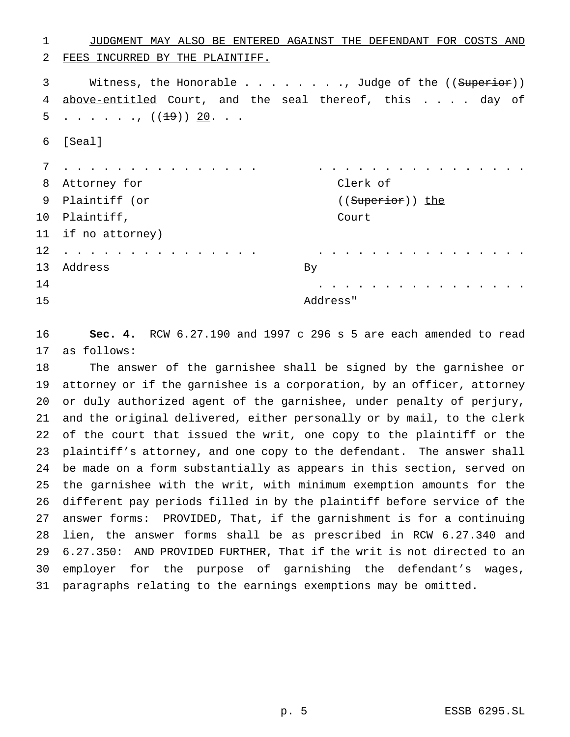| 1  | JUDGMENT MAY ALSO BE ENTERED AGAINST THE DEFENDANT FOR COSTS AND       |  |
|----|------------------------------------------------------------------------|--|
| 2  | FEES INCURRED BY THE PLAINTIFF.                                        |  |
| 3  | Witness, the Honorable Judge of the ((Superior))                       |  |
| 4  | above-entitled Court, and the seal thereof, this day of                |  |
| 5  | ., (( <del>19</del> )) <u>20</u> .                                     |  |
| 6  | [Seal]                                                                 |  |
| 7  |                                                                        |  |
| 8  | Clerk of<br>Attorney for                                               |  |
| 9  | Plaintiff (or<br>((Superior)) the                                      |  |
| 10 | Plaintiff,<br>Court                                                    |  |
| 11 | if no attorney)                                                        |  |
| 12 |                                                                        |  |
| 13 | Address<br>Вy                                                          |  |
| 14 |                                                                        |  |
| 15 | Address"                                                               |  |
| 16 | Sec. 4. RCW 6.27.190 and 1997 c 296 s 5 are each amended to read       |  |
| 17 | as follows:                                                            |  |
| 18 | The answer of the garnishee shall be signed by the garnishee or        |  |
| 19 | attorney or if the garnishee is a corporation, by an officer, attorney |  |
| 20 | or duly authorized agent of the garnishee, under penalty of perjury,   |  |
| 21 | and the original delivered, either personally or by mail, to the clerk |  |
| 22 | of the court that issued the writ, one copy to the plaintiff or the    |  |
| 23 | plaintiff's attorney, and one copy to the defendant. The answer shall  |  |
| 24 | be made on a form substantially as appears in this section, served on  |  |
| 25 | the garnishee with the writ, with minimum exemption amounts for the    |  |
| 26 | different pay periods filled in by the plaintiff before service of the |  |
| 27 | answer forms: PROVIDED, That, if the garnishment is for a continuing   |  |
| 28 | lien, the answer forms shall be as prescribed in RCW 6.27.340 and      |  |

 6.27.350: AND PROVIDED FURTHER, That if the writ is not directed to an employer for the purpose of garnishing the defendant's wages, paragraphs relating to the earnings exemptions may be omitted.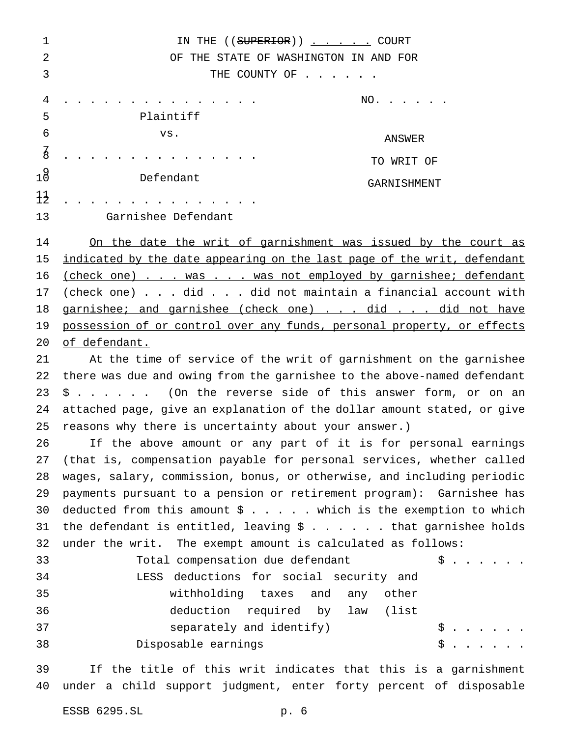1 IN THE ((SUPERIOR)) . . . . COURT OF THE STATE OF WASHINGTON IN AND FOR 3 THE COUNTY OF . . . . . . . . . . . . . . . . . . . . NO. . . . . . Plaintiff 6 vs. ............... TO WRIT OF 10 Defendant GARNISHMENT ............... Garnishee Defendant On the date the writ of garnishment was issued by the court as 15 indicated by the date appearing on the last page of the writ, defendant 16 (check one) . . . was . . . was not employed by garnishee; defendant 17 (check one) . . . did . . . did not maintain a financial account with 18 garnishee; and garnishee (check one) . . . did . . . did not have possession of or control over any funds, personal property, or effects of defendant. At the time of service of the writ of garnishment on the garnishee there was due and owing from the garnishee to the above-named defendant \$ . . . . . . (On the reverse side of this answer form, or on an attached page, give an explanation of the dollar amount stated, or give reasons why there is uncertainty about your answer.) If the above amount or any part of it is for personal earnings (that is, compensation payable for personal services, whether called wages, salary, commission, bonus, or otherwise, and including periodic payments pursuant to a pension or retirement program): Garnishee has 30 deducted from this amount  $\frac{1}{2}$  . . . . which is the exemption to which 31 the defendant is entitled, leaving  $$......$  that garnishee holds under the writ. The exempt amount is calculated as follows: 33 Total compensation due defendant  $\begin{array}{ccc} \text{5.7.1.1}\end{array}$  LESS deductions for social security and withholding taxes and any other deduction required by law (list 37 separately and identify)  $\begin{array}{ccc} \xi & \ldots & \ldots \end{array}$ 38 Disposable earnings 5......

 If the title of this writ indicates that this is a garnishment under a child support judgment, enter forty percent of disposable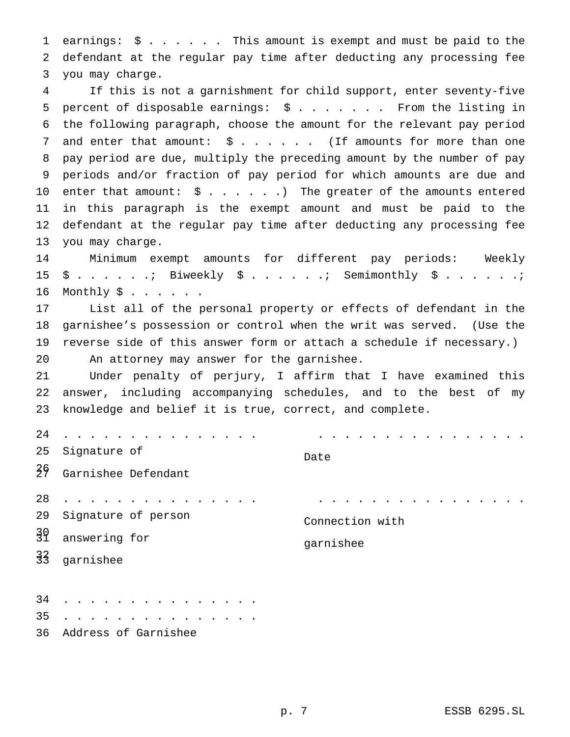earnings: \$...... This amount is exempt and must be paid to the defendant at the regular pay time after deducting any processing fee you may charge.

 If this is not a garnishment for child support, enter seventy-five 5 percent of disposable earnings:  $\frac{1}{2}$  ....... From the listing in the following paragraph, choose the amount for the relevant pay period 7 and enter that amount:  $\frac{1}{2}$  . . . . . (If amounts for more than one pay period are due, multiply the preceding amount by the number of pay periods and/or fraction of pay period for which amounts are due and 10 enter that amount:  $\sin x + \sin x + \sin x$  The greater of the amounts entered in this paragraph is the exempt amount and must be paid to the defendant at the regular pay time after deducting any processing fee you may charge.

 Minimum exempt amounts for different pay periods: Weekly  $15 \quad \text{\$} \quad \ldots \quad \ldots$  Biweekly  $\text{\$} \quad \ldots \quad \ldots$  . Semimonthly  $\text{\$} \quad \ldots \quad \ldots \quad \ldots$ Monthly  $\frac{1}{2}$ ......

 List all of the personal property or effects of defendant in the garnishee's possession or control when the writ was served. (Use the reverse side of this answer form or attach a schedule if necessary.) An attorney may answer for the garnishee.

 Under penalty of perjury, I affirm that I have examined this answer, including accompanying schedules, and to the best of my knowledge and belief it is true, correct, and complete.

| 24            | $\mathbf{r}$                                                                             |                 |
|---------------|------------------------------------------------------------------------------------------|-----------------|
| 25            | Signature of                                                                             | Date            |
| 35            | Garnishee Defendant                                                                      |                 |
| 28            |                                                                                          |                 |
| 29            | Signature of person                                                                      | Connection with |
| 39            | answering for                                                                            |                 |
| $\frac{3}{3}$ | garnishee                                                                                | garnishee       |
| 34            |                                                                                          |                 |
| 35            | $\mathbf{r}$ , and $\mathbf{r}$ , and $\mathbf{r}$ , and $\mathbf{r}$ , and $\mathbf{r}$ |                 |

Address of Garnishee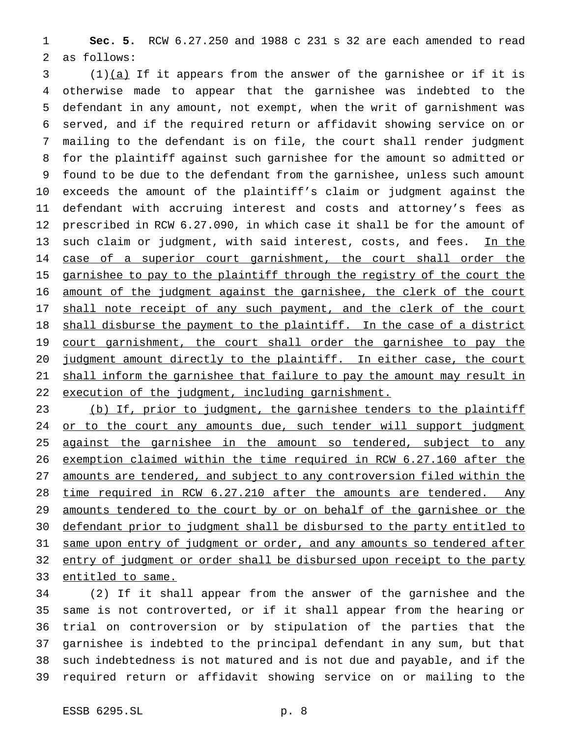**Sec. 5.** RCW 6.27.250 and 1988 c 231 s 32 are each amended to read as follows:

 (1)(a) If it appears from the answer of the garnishee or if it is otherwise made to appear that the garnishee was indebted to the defendant in any amount, not exempt, when the writ of garnishment was served, and if the required return or affidavit showing service on or mailing to the defendant is on file, the court shall render judgment for the plaintiff against such garnishee for the amount so admitted or found to be due to the defendant from the garnishee, unless such amount exceeds the amount of the plaintiff's claim or judgment against the defendant with accruing interest and costs and attorney's fees as prescribed in RCW 6.27.090, in which case it shall be for the amount of 13 such claim or judgment, with said interest, costs, and fees. In the 14 case of a superior court garnishment, the court shall order the 15 garnishee to pay to the plaintiff through the registry of the court the amount of the judgment against the garnishee, the clerk of the court 17 shall note receipt of any such payment, and the clerk of the court 18 shall disburse the payment to the plaintiff. In the case of a district 19 court garnishment, the court shall order the garnishee to pay the judgment amount directly to the plaintiff. In either case, the court shall inform the garnishee that failure to pay the amount may result in 22 execution of the judgment, including garnishment.

 (b) If, prior to judgment, the garnishee tenders to the plaintiff 24 or to the court any amounts due, such tender will support judgment 25 against the garnishee in the amount so tendered, subject to any exemption claimed within the time required in RCW 6.27.160 after the amounts are tendered, and subject to any controversion filed within the 28 time required in RCW 6.27.210 after the amounts are tendered. Any 29 amounts tendered to the court by or on behalf of the garnishee or the defendant prior to judgment shall be disbursed to the party entitled to 31 same upon entry of judgment or order, and any amounts so tendered after 32 entry of judgment or order shall be disbursed upon receipt to the party entitled to same.

 (2) If it shall appear from the answer of the garnishee and the same is not controverted, or if it shall appear from the hearing or trial on controversion or by stipulation of the parties that the garnishee is indebted to the principal defendant in any sum, but that such indebtedness is not matured and is not due and payable, and if the required return or affidavit showing service on or mailing to the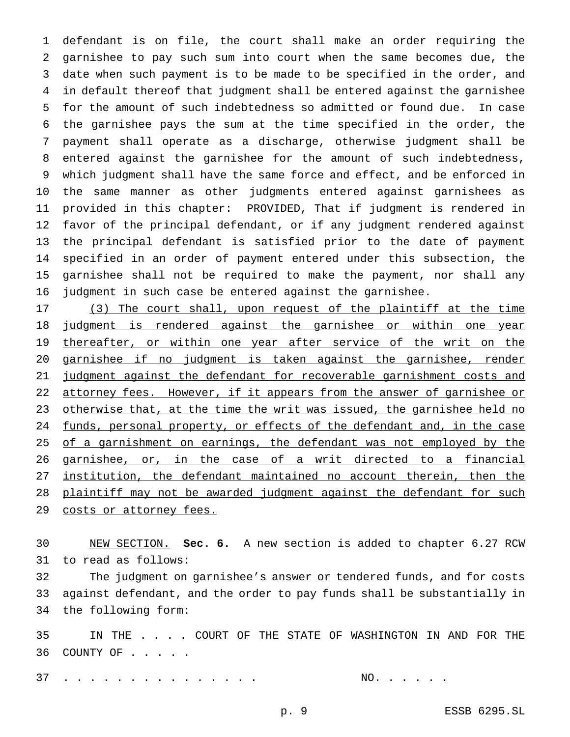defendant is on file, the court shall make an order requiring the garnishee to pay such sum into court when the same becomes due, the date when such payment is to be made to be specified in the order, and in default thereof that judgment shall be entered against the garnishee for the amount of such indebtedness so admitted or found due. In case the garnishee pays the sum at the time specified in the order, the payment shall operate as a discharge, otherwise judgment shall be entered against the garnishee for the amount of such indebtedness, which judgment shall have the same force and effect, and be enforced in the same manner as other judgments entered against garnishees as provided in this chapter: PROVIDED, That if judgment is rendered in favor of the principal defendant, or if any judgment rendered against the principal defendant is satisfied prior to the date of payment specified in an order of payment entered under this subsection, the garnishee shall not be required to make the payment, nor shall any judgment in such case be entered against the garnishee.

 (3) The court shall, upon request of the plaintiff at the time judgment is rendered against the garnishee or within one year 19 thereafter, or within one year after service of the writ on the garnishee if no judgment is taken against the garnishee, render 21 judgment against the defendant for recoverable garnishment costs and 22 attorney fees. However, if it appears from the answer of garnishee or 23 otherwise that, at the time the writ was issued, the garnishee held no 24 funds, personal property, or effects of the defendant and, in the case 25 of a garnishment on earnings, the defendant was not employed by the garnishee, or, in the case of a writ directed to a financial institution, the defendant maintained no account therein, then the 28 plaintiff may not be awarded judgment against the defendant for such 29 costs or attorney fees.

 NEW SECTION. **Sec. 6.** A new section is added to chapter 6.27 RCW to read as follows:

 The judgment on garnishee's answer or tendered funds, and for costs against defendant, and the order to pay funds shall be substantially in the following form:

 IN THE . . . . COURT OF THE STATE OF WASHINGTON IN AND FOR THE 36 COUNTY OF . . . . .

. . . . . . . . . . . . . . . NO. . . . . .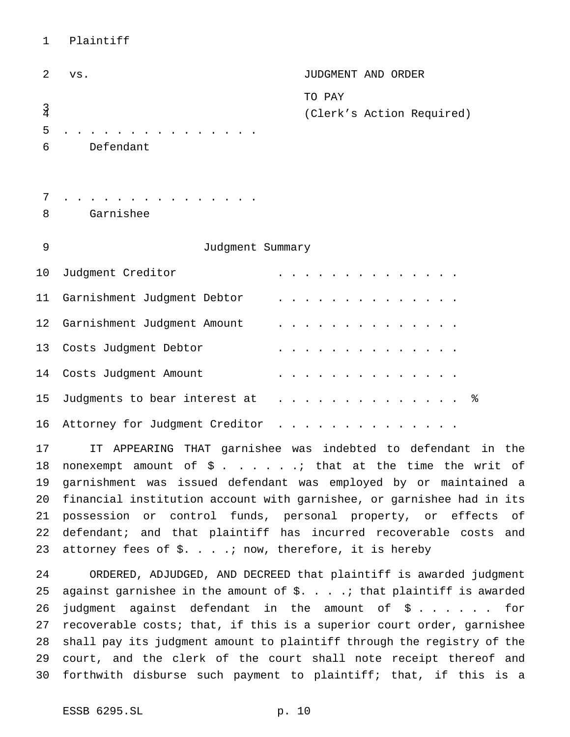# Plaintiff

| $\overline{2}$ | VS.                            | JUDGMENT AND ORDER        |
|----------------|--------------------------------|---------------------------|
|                |                                | TO PAY                    |
| $\frac{3}{4}$  |                                | (Clerk's Action Required) |
| 5              |                                |                           |
| 6              | Defendant                      |                           |
|                |                                |                           |
| 7              |                                |                           |
| 8              | Garnishee                      |                           |
|                |                                |                           |
| 9              | Judgment Summary               |                           |
| 10             | Judgment Creditor              |                           |
| 11             | Garnishment Judgment Debtor    |                           |
| 12             | Garnishment Judgment Amount    |                           |
| 13             | Costs Judgment Debtor          |                           |
| 14             | Costs Judgment Amount          |                           |
| 15             | Judgments to bear interest at  | ್ಠಿ                       |
| 16             | Attorney for Judgment Creditor |                           |

 IT APPEARING THAT garnishee was indebted to defendant in the 18 nonexempt amount of  $\hat{S}$ . . . . . .; that at the time the writ of garnishment was issued defendant was employed by or maintained a financial institution account with garnishee, or garnishee had in its possession or control funds, personal property, or effects of defendant; and that plaintiff has incurred recoverable costs and 23 attorney fees of  $\S. \ldots$  inow, therefore, it is hereby

 ORDERED, ADJUDGED, AND DECREED that plaintiff is awarded judgment 25 against garnishee in the amount of  $\zeta$ ....  $\zeta$ . that plaintiff is awarded judgment against defendant in the amount of \$ . . . . . . for recoverable costs; that, if this is a superior court order, garnishee shall pay its judgment amount to plaintiff through the registry of the court, and the clerk of the court shall note receipt thereof and forthwith disburse such payment to plaintiff; that, if this is a